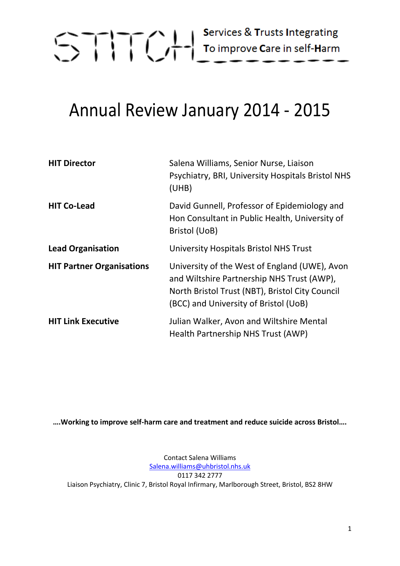

### Annual Review January 2014 - 2015

| <b>HIT Director</b>              | Salena Williams, Senior Nurse, Liaison<br>Psychiatry, BRI, University Hospitals Bristol NHS<br>(UHB)                                                                                    |
|----------------------------------|-----------------------------------------------------------------------------------------------------------------------------------------------------------------------------------------|
| <b>HIT Co-Lead</b>               | David Gunnell, Professor of Epidemiology and<br>Hon Consultant in Public Health, University of<br>Bristol (UoB)                                                                         |
| <b>Lead Organisation</b>         | University Hospitals Bristol NHS Trust                                                                                                                                                  |
| <b>HIT Partner Organisations</b> | University of the West of England (UWE), Avon<br>and Wiltshire Partnership NHS Trust (AWP),<br>North Bristol Trust (NBT), Bristol City Council<br>(BCC) and University of Bristol (UoB) |
| <b>HIT Link Executive</b>        | Julian Walker, Avon and Wiltshire Mental<br>Health Partnership NHS Trust (AWP)                                                                                                          |

**….Working to improve self-harm care and treatment and reduce suicide across Bristol….**

Contact Salena Williams [Salena.williams@uhbristol.nhs.uk](mailto:Salena.williams@uhbristol.nhs.uk) 0117 342 2777 Liaison Psychiatry, Clinic 7, Bristol Royal Infirmary, Marlborough Street, Bristol, BS2 8HW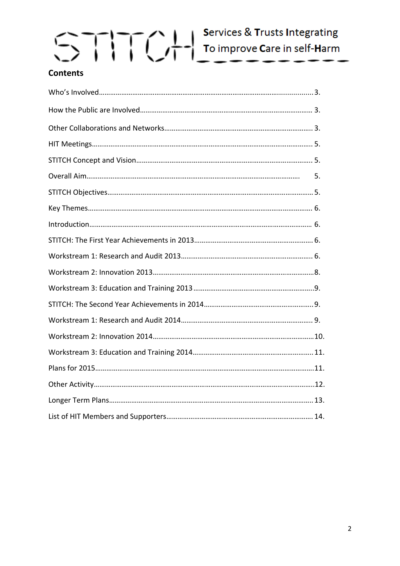### **Contents**

| 5. |  |
|----|--|
|    |  |
|    |  |
|    |  |
|    |  |
|    |  |
|    |  |
|    |  |
|    |  |
|    |  |
|    |  |
|    |  |
|    |  |
|    |  |
|    |  |
|    |  |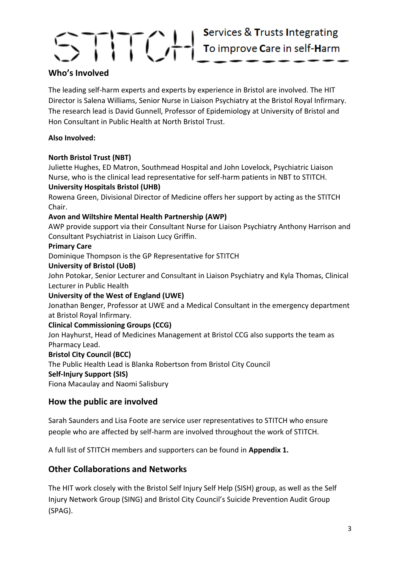### **Who's Involved**

The leading self-harm experts and experts by experience in Bristol are involved. The HIT Director is Salena Williams, Senior Nurse in Liaison Psychiatry at the Bristol Royal Infirmary. The research lead is David Gunnell, Professor of Epidemiology at University of Bristol and Hon Consultant in Public Health at North Bristol Trust.

### **Also Involved:**

### **North Bristol Trust (NBT)**

Juliette Hughes, ED Matron, Southmead Hospital and John Lovelock, Psychiatric Liaison Nurse, who is the clinical lead representative for self-harm patients in NBT to STITCH.

### **University Hospitals Bristol (UHB)**

Rowena Green, Divisional Director of Medicine offers her support by acting as the STITCH Chair.

### **Avon and Wiltshire Mental Health Partnership (AWP)**

AWP provide support via their Consultant Nurse for Liaison Psychiatry Anthony Harrison and Consultant Psychiatrist in Liaison Lucy Griffin.

### **Primary Care**

Dominique Thompson is the GP Representative for STITCH

### **University of Bristol (UoB)**

John Potokar, Senior Lecturer and Consultant in Liaison Psychiatry and Kyla Thomas, Clinical Lecturer in Public Health

### **University of the West of England (UWE)**

Jonathan Benger, Professor at UWE and a Medical Consultant in the emergency department at Bristol Royal Infirmary.

### **Clinical Commissioning Groups (CCG)**

Jon Hayhurst, Head of Medicines Management at Bristol CCG also supports the team as Pharmacy Lead.

### **Bristol City Council (BCC)**

The Public Health Lead is Blanka Robertson from Bristol City Council

### **Self-Injury Support (SIS)**

Fiona Macaulay and Naomi Salisbury

### **How the public are involved**

Sarah Saunders and Lisa Foote are service user representatives to STITCH who ensure people who are affected by self-harm are involved throughout the work of STITCH.

A full list of STITCH members and supporters can be found in **Appendix 1.**

### **Other Collaborations and Networks**

The HIT work closely with the Bristol Self Injury Self Help (SISH) group, as well as the Self Injury Network Group (SING) and Bristol City Council's Suicide Prevention Audit Group (SPAG).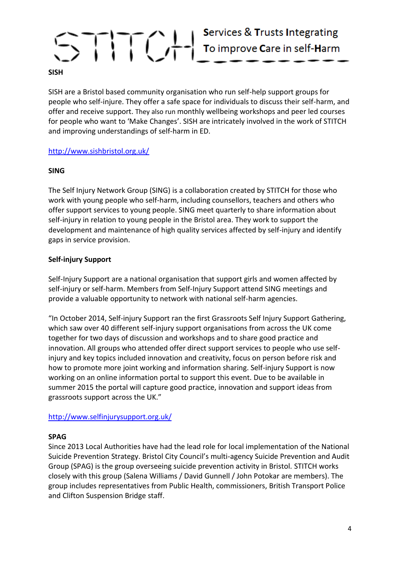SISH are a Bristol based community organisation who run self-help support groups for people who self-injure. They offer a safe space for individuals to discuss their self-harm, and offer and receive support. They also run monthly wellbeing workshops and peer led courses for people who want to 'Make Changes'. SISH are intricately involved in the work of STITCH and improving understandings of self-harm in ED.

### <http://www.sishbristol.org.uk/>

### **SING**

The Self Injury Network Group (SING) is a collaboration created by STITCH for those who work with young people who self-harm, including counsellors, teachers and others who offer support services to young people. SING meet quarterly to share information about self-injury in relation to young people in the Bristol area. They work to support the development and maintenance of high quality services affected by self-injury and identify gaps in service provision.

### **Self-injury Support**

Self-Injury Support are a national organisation that support girls and women affected by self-injury or self-harm. Members from Self-Injury Support attend SING meetings and provide a valuable opportunity to network with national self-harm agencies.

"In October 2014, Self-injury Support ran the first Grassroots Self Injury Support Gathering, which saw over 40 different self-injury support organisations from across the UK come together for two days of discussion and workshops and to share good practice and innovation. All groups who attended offer direct support services to people who use selfinjury and key topics included innovation and creativity, focus on person before risk and how to promote more joint working and information sharing. Self-injury Support is now working on an online information portal to support this event. Due to be available in summer 2015 the portal will capture good practice, innovation and support ideas from grassroots support across the UK."

### <http://www.selfinjurysupport.org.uk/>

### **SPAG**

Since 2013 Local Authorities have had the lead role for local implementation of the National Suicide Prevention Strategy. Bristol City Council's multi-agency Suicide Prevention and Audit Group (SPAG) is the group overseeing suicide prevention activity in Bristol. STITCH works closely with this group (Salena Williams / David Gunnell / John Potokar are members). The group includes representatives from Public Health, commissioners, British Transport Police and Clifton Suspension Bridge staff.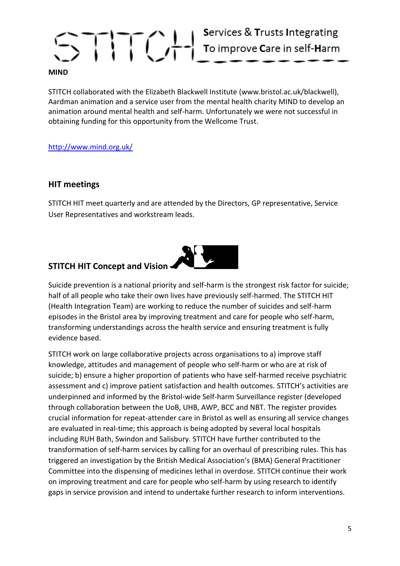### STITCH collaborated with the Elizabeth Blackwell Institute (www.bristol.ac.uk/blackwell), Aardman animation and a service user from the mental health charity MIND to develop an animation around mental health and self-harm. Unfortunately we were not successful in obtaining funding for this opportunity from the Wellcome Trust.

### <http://www.mind.org.uk/>

### **HIT meetings**

STITCH HIT meet quarterly and are attended by the Directors, GP representative, Service User Representatives and workstream leads.

### **STITCH HIT Concept and Vision**



Suicide prevention is a national priority and self-harm is the strongest risk factor for suicide; half of all people who take their own lives have previously self-harmed. The STITCH HIT (Health Integration Team) are working to reduce the number of suicides and self-harm episodes in the Bristol area by improving treatment and care for people who self-harm, transforming understandings across the health service and ensuring treatment is fully evidence based.

STITCH work on large collaborative projects across organisations to a) improve staff knowledge, attitudes and management of people who self-harm or who are at risk of suicide; b) ensure a higher proportion of patients who have self-harmed receive psychiatric assessment and c) improve patient satisfaction and health outcomes. STITCH's activities are underpinned and informed by the Bristol-wide Self-harm Surveillance register (developed through collaboration between the UoB, UHB, AWP, BCC and NBT. The register provides crucial information for repeat-attender care in Bristol as well as ensuring all service changes are evaluated in real-time; this approach is being adopted by several local hospitals including RUH Bath, Swindon and Salisbury. STITCH have further contributed to the transformation of self-harm services by calling for an overhaul of prescribing rules. This has triggered an investigation by the British Medical Association's (BMA) General Practitioner Committee into the dispensing of medicines lethal in overdose. STITCH continue their work on improving treatment and care for people who self-harm by using research to identify gaps in service provision and intend to undertake further research to inform interventions.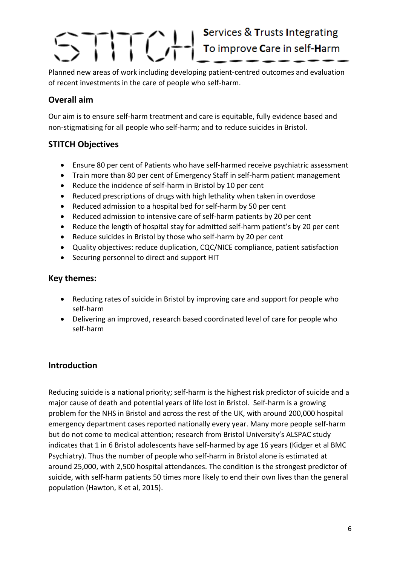## 

Planned new areas of work including developing patient-centred outcomes and evaluation of recent investments in the care of people who self-harm.

### **Overall aim**

Our aim is to ensure self-harm treatment and care is equitable, fully evidence based and non-stigmatising for all people who self-harm; and to reduce suicides in Bristol.

### **STITCH Objectives**

- Ensure 80 per cent of Patients who have self-harmed receive psychiatric assessment
- Train more than 80 per cent of Emergency Staff in self-harm patient management
- Reduce the incidence of self-harm in Bristol by 10 per cent
- Reduced prescriptions of drugs with high lethality when taken in overdose
- Reduced admission to a hospital bed for self-harm by 50 per cent
- Reduced admission to intensive care of self-harm patients by 20 per cent
- Reduce the length of hospital stay for admitted self-harm patient's by 20 per cent
- Reduce suicides in Bristol by those who self-harm by 20 per cent
- Quality objectives: reduce duplication, CQC/NICE compliance, patient satisfaction
- Securing personnel to direct and support HIT

### **Key themes:**

- Reducing rates of suicide in Bristol by improving care and support for people who self-harm
- Delivering an improved, research based coordinated level of care for people who self-harm

### **Introduction**

Reducing suicide is a national priority; self-harm is the highest risk predictor of suicide and a major cause of death and potential years of life lost in Bristol. Self-harm is a growing problem for the NHS in Bristol and across the rest of the UK, with around 200,000 hospital emergency department cases reported nationally every year. Many more people self-harm but do not come to medical attention; research from Bristol University's ALSPAC study indicates that 1 in 6 Bristol adolescents have self-harmed by age 16 years (Kidger et al BMC Psychiatry). Thus the number of people who self-harm in Bristol alone is estimated at around 25,000, with 2,500 hospital attendances. The condition is the strongest predictor of suicide, with self-harm patients 50 times more likely to end their own lives than the general population (Hawton, K et al, 2015).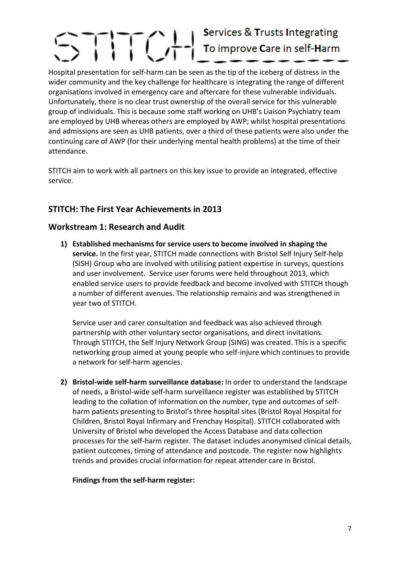## Services & Trusts Integrating

Hospital presentation for self-harm can be seen as the tip of the iceberg of distress in the wider community and the key challenge for healthcare is integrating the range of different organisations involved in emergency care and aftercare for these vulnerable individuals. Unfortunately, there is no clear trust ownership of the overall service for this vulnerable group of individuals. This is because some staff working on UHB's Liaison Psychiatry team are employed by UHB whereas others are employed by AWP; whilst hospital presentations and admissions are seen as UHB patients, over a third of these patients were also under the continuing care of AWP (for their underlying mental health problems) at the time of their attendance.

STITCH aim to work with all partners on this key issue to provide an integrated, effective service.

### **STITCH: The First Year Achievements in 2013**

### **Workstream 1: Research and Audit**

**1) Established mechanisms for service users to become involved in shaping the service.** In the first year, STITCH made connections with Bristol Self Injury Self-help (SISH) Group who are involved with utilising patient expertise in surveys, questions and user involvement. Service user forums were held throughout 2013, which enabled service users to provide feedback and become involved with STITCH though a number of different avenues. The relationship remains and was strengthened in year two of STITCH.

Service user and carer consultation and feedback was also achieved through partnership with other voluntary sector organisations, and direct invitations. Through STITCH, the Self Injury Network Group (SING) was created. This is a specific networking group aimed at young people who self-injure which continues to provide a network for self-harm agencies.

**2) Bristol-wide self-harm surveillance database:** In order to understand the landscape of needs, a Bristol-wide self-harm surveillance register was established by STITCH leading to the collation of information on the number, type and outcomes of selfharm patients presenting to Bristol's three hospital sites (Bristol Royal Hospital for Children, Bristol Royal Infirmary and Frenchay Hospital). STITCH collaborated with University of Bristol who developed the Access Database and data collection processes for the self-harm register. The dataset includes anonymised clinical details, patient outcomes, timing of attendance and postcode. The register now highlights trends and provides crucial information for repeat attender care in Bristol.

### **Findings from the self-harm register:**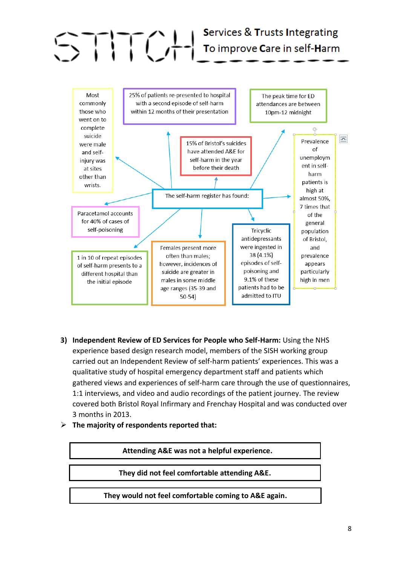

- **3) Independent Review of ED Services for People who Self-Harm:** Using the NHS experience based design research model, members of the SISH working group carried out an Independent Review of self-harm patients' experiences. This was a qualitative study of hospital emergency department staff and patients which gathered views and experiences of self-harm care through the use of questionnaires, 1:1 interviews, and video and audio recordings of the patient journey. The review covered both Bristol Royal Infirmary and Frenchay Hospital and was conducted over 3 months in 2013.
- **The majority of respondents reported that:**

**Attending A&E was not a helpful experience.**

**They did not feel comfortable attending A&E.**

**They would not feel comfortable coming to A&E again.**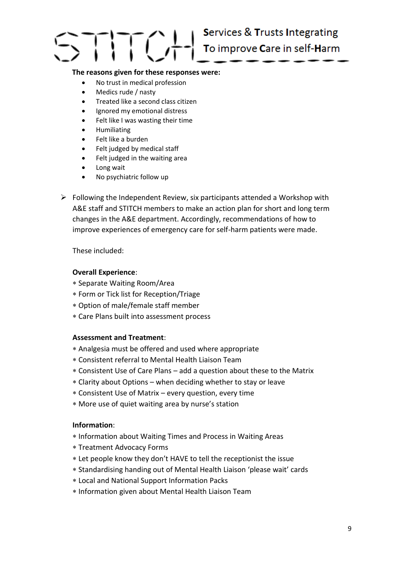

#### **The reasons given for these responses were:**

- No trust in medical profession
- Medics rude / nasty
- Treated like a second class citizen
- Ignored my emotional distress
- Felt like I was wasting their time
- **•** Humiliating
- Felt like a burden
- Felt judged by medical staff
- Felt judged in the waiting area
- Long wait
- No psychiatric follow up
- $\triangleright$  Following the Independent Review, six participants attended a Workshop with A&E staff and STITCH members to make an action plan for short and long term changes in the A&E department. Accordingly, recommendations of how to improve experiences of emergency care for self-harm patients were made.

These included:

#### **Overall Experience**:

- Separate Waiting Room/Area
- Form or Tick list for Reception/Triage
- Option of male/female staff member
- Care Plans built into assessment process

#### **Assessment and Treatment**:

- Analgesia must be offered and used where appropriate
- Consistent referral to Mental Health Liaison Team
- Consistent Use of Care Plans add a question about these to the Matrix
- Clarity about Options when deciding whether to stay or leave
- Consistent Use of Matrix every question, every time
- More use of quiet waiting area by nurse's station

#### **Information**:

- Information about Waiting Times and Process in Waiting Areas
- Treatment Advocacy Forms
- Let people know they don't HAVE to tell the receptionist the issue
- Standardising handing out of Mental Health Liaison 'please wait' cards
- Local and National Support Information Packs
- \* Information given about Mental Health Liaison Team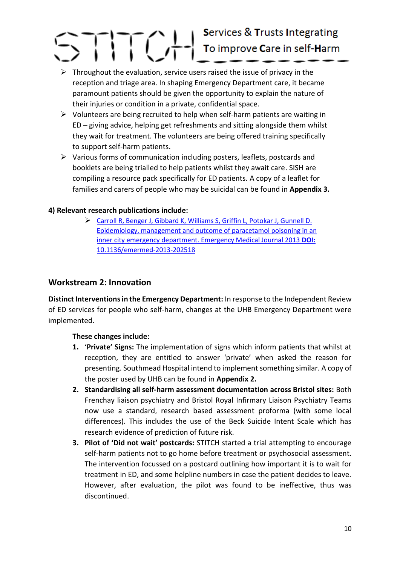- $\triangleright$  Throughout the evaluation, service users raised the issue of privacy in the reception and triage area. In shaping Emergency Department care, it became paramount patients should be given the opportunity to explain the nature of their injuries or condition in a private, confidential space.
- $\triangleright$  Volunteers are being recruited to help when self-harm patients are waiting in ED – giving advice, helping get refreshments and sitting alongside them whilst they wait for treatment. The volunteers are being offered training specifically to support self-harm patients.
- $\triangleright$  Various forms of communication including posters, leaflets, postcards and booklets are being trialled to help patients whilst they await care. SISH are compiling a resource pack specifically for ED patients. A copy of a leaflet for families and carers of people who may be suicidal can be found in **Appendix 3.**

### **4) Relevant research publications include:**

 [Carroll R, Benger J, Gibbard K, Williams S, Griffin L, Potokar J, Gunnell D.](http://emj.bmj.com/content/32/2/155.full.pdf+html?sid=bfc851ad-bb83-4503-8897-b7835daffd37)  [Epidemiology, management and outcome of paracetamol poisoning in an](http://emj.bmj.com/content/32/2/155.full.pdf+html?sid=bfc851ad-bb83-4503-8897-b7835daffd37)  [inner city emergency department. Emergency Medical Journal 2013](http://emj.bmj.com/content/32/2/155.full.pdf+html?sid=bfc851ad-bb83-4503-8897-b7835daffd37) **DOI:** [10.1136/emermed-2013-202518](http://emj.bmj.com/content/32/2/155.full.pdf+html?sid=bfc851ad-bb83-4503-8897-b7835daffd37)

### **Workstream 2: Innovation**

**Distinct Interventions in the Emergency Department:** In response to the Independent Review of ED services for people who self-harm, changes at the UHB Emergency Department were implemented.

### **These changes include:**

- **1.** '**Private' Signs:** The implementation of signs which inform patients that whilst at reception, they are entitled to answer 'private' when asked the reason for presenting. Southmead Hospital intend to implement something similar. A copy of the poster used by UHB can be found in **Appendix 2.**
- **2. Standardising all self-harm assessment documentation across Bristol sites:** Both Frenchay liaison psychiatry and Bristol Royal Infirmary Liaison Psychiatry Teams now use a standard, research based assessment proforma (with some local differences). This includes the use of the Beck Suicide Intent Scale which has research evidence of prediction of future risk.
- **3. Pilot of 'Did not wait' postcards:** STITCH started a trial attempting to encourage self-harm patients not to go home before treatment or psychosocial assessment. The intervention focussed on a postcard outlining how important it is to wait for treatment in ED, and some helpline numbers in case the patient decides to leave. However, after evaluation, the pilot was found to be ineffective, thus was discontinued.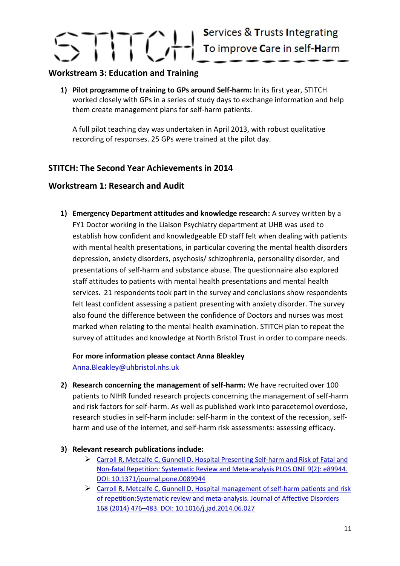### **Workstream 3: Education and Training**

**1) Pilot programme of training to GPs around Self-harm:** In its first year, STITCH worked closely with GPs in a series of study days to exchange information and help them create management plans for self-harm patients.

A full pilot teaching day was undertaken in April 2013, with robust qualitative recording of responses. 25 GPs were trained at the pilot day.

### **STITCH: The Second Year Achievements in 2014**

### **Workstream 1: Research and Audit**

**1) Emergency Department attitudes and knowledge research:** A survey written by a FY1 Doctor working in the Liaison Psychiatry department at UHB was used to establish how confident and knowledgeable ED staff felt when dealing with patients with mental health presentations, in particular covering the mental health disorders depression, anxiety disorders, psychosis/ schizophrenia, personality disorder, and presentations of self-harm and substance abuse. The questionnaire also explored staff attitudes to patients with mental health presentations and mental health services. 21 respondents took part in the survey and conclusions show respondents felt least confident assessing a patient presenting with anxiety disorder. The survey also found the difference between the confidence of Doctors and nurses was most marked when relating to the mental health examination. STITCH plan to repeat the survey of attitudes and knowledge at North Bristol Trust in order to compare needs.

**For more information please contact Anna Bleakley** [Anna.Bleakley@uhbristol.nhs.uk](mailto:Anna.Bleakley@uhbristol.nhs.uk)

- **2) Research concerning the management of self-harm:** We have recruited over 100 patients to NIHR funded research projects concerning the management of self-harm and risk factors for self-harm. As well as published work into paracetemol overdose, research studies in self-harm include: self-harm in the context of the recession, selfharm and use of the internet, and self-harm risk assessments: assessing efficacy.
- **3) Relevant research publications include:**
	- [Carroll R, Metcalfe C, Gunnell D. Hospital Presenting Self-harm and Risk of Fatal and](http://www.ncbi.nlm.nih.gov/pmc/articles/PMC3938547/)  [Non-fatal Repetition: Systematic Review and Meta-analysis PLOS ONE 9\(2\): e89944.](http://www.ncbi.nlm.nih.gov/pmc/articles/PMC3938547/)  [DOI: 10.1371/journal.pone.0089944](http://www.ncbi.nlm.nih.gov/pmc/articles/PMC3938547/)
	- Carroll R, Metcalfe C, Gunnell D. Hospital [management](http://www.jad-journal.com/article/S0165-0327%2814%2900388-7/abstract) of self-harm patients and risk of [repetition:Systematic](http://www.jad-journal.com/article/S0165-0327%2814%2900388-7/abstract) review and meta-analysis. Journal of Affective Disorders 168 (2014) 476–483. DOI: [10.1016/j.jad.2014.06.027](http://www.jad-journal.com/article/S0165-0327%2814%2900388-7/abstract)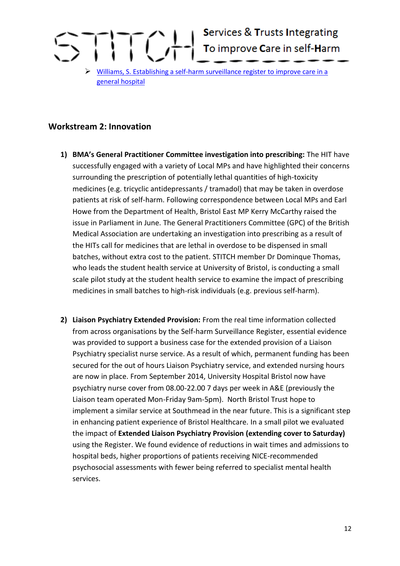

### **Workstream 2: Innovation**

- **1) BMA's General Practitioner Committee investigation into prescribing:** The HIT have successfully engaged with a variety of Local MPs and have highlighted their concerns surrounding the prescription of potentially lethal quantities of high-toxicity medicines (e.g. tricyclic antidepressants / tramadol) that may be taken in overdose patients at risk of self-harm. Following correspondence between Local MPs and Earl Howe from the Department of Health, Bristol East MP Kerry McCarthy raised the issue in Parliament in June. The General Practitioners Committee (GPC) of the British Medical Association are undertaking an investigation into prescribing as a result of the HITs call for medicines that are lethal in overdose to be dispensed in small batches, without extra cost to the patient. STITCH member Dr Dominque Thomas, who leads the student health service at University of Bristol, is conducting a small scale pilot study at the student health service to examine the impact of prescribing medicines in small batches to high-risk individuals (e.g. previous self-harm).
- **2) Liaison Psychiatry Extended Provision:** From the real time information collected from across organisations by the Self-harm Surveillance Register, essential evidence was provided to support a business case for the extended provision of a Liaison Psychiatry specialist nurse service. As a result of which, permanent funding has been secured for the out of hours Liaison Psychiatry service, and extended nursing hours are now in place. From September 2014, University Hospital Bristol now have psychiatry nurse cover from 08.00-22.00 7 days per week in A&E (previously the Liaison team operated Mon-Friday 9am-5pm). North Bristol Trust hope to implement a similar service at Southmead in the near future. This is a significant step in enhancing patient experience of Bristol Healthcare. In a small pilot we evaluated the impact of **Extended Liaison Psychiatry Provision (extending cover to Saturday)**  using the Register. We found evidence of reductions in wait times and admissions to hospital beds, higher proportions of patients receiving NICE-recommended psychosocial assessments with fewer being referred to specialist mental health services.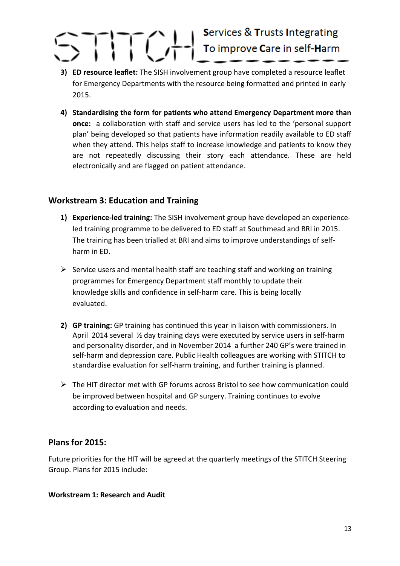- **3) ED resource leaflet:** The SISH involvement group have completed a resource leaflet for Emergency Departments with the resource being formatted and printed in early 2015.
- **4) Standardising the form for patients who attend Emergency Department more than once:** a collaboration with staff and service users has led to the 'personal support plan' being developed so that patients have information readily available to ED staff when they attend. This helps staff to increase knowledge and patients to know they are not repeatedly discussing their story each attendance. These are held electronically and are flagged on patient attendance.

### **Workstream 3: Education and Training**

- **1) Experience-led training:** The SISH involvement group have developed an experienceled training programme to be delivered to ED staff at Southmead and BRI in 2015. The training has been trialled at BRI and aims to improve understandings of selfharm in ED.
- $\triangleright$  Service users and mental health staff are teaching staff and working on training programmes for Emergency Department staff monthly to update their knowledge skills and confidence in self-harm care. This is being locally evaluated.
- **2) GP training:** GP training has continued this year in liaison with commissioners. In April 2014 several ½ day training days were executed by service users in self-harm and personality disorder, and in November 2014 a further 240 GP's were trained in self-harm and depression care. Public Health colleagues are working with STITCH to standardise evaluation for self-harm training, and further training is planned.
- $\triangleright$  The HIT director met with GP forums across Bristol to see how communication could be improved between hospital and GP surgery. Training continues to evolve according to evaluation and needs.

### **Plans for 2015:**

Future priorities for the HIT will be agreed at the quarterly meetings of the STITCH Steering Group. Plans for 2015 include:

### **Workstream 1: Research and Audit**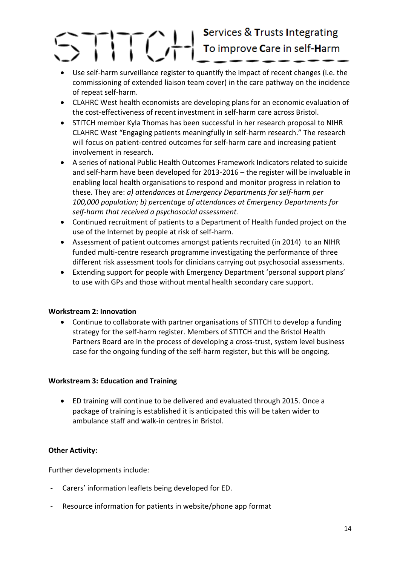## Services & Trusts Integrating

- Use self-harm surveillance register to quantify the impact of recent changes (i.e. the commissioning of extended liaison team cover) in the care pathway on the incidence of repeat self-harm.
- CLAHRC West health economists are developing plans for an economic evaluation of the cost-effectiveness of recent investment in self-harm care across Bristol.
- STITCH member Kyla Thomas has been successful in her research proposal to NIHR CLAHRC West "Engaging patients meaningfully in self-harm research." The research will focus on patient-centred outcomes for self-harm care and increasing patient involvement in research.
- A series of national Public Health Outcomes Framework Indicators related to suicide and self-harm have been developed for 2013-2016 – the register will be invaluable in enabling local health organisations to respond and monitor progress in relation to these. They are: *a) attendances at Emergency Departments for self-harm per 100,000 population; b) percentage of attendances at Emergency Departments for self-harm that received a psychosocial assessment.*
- Continued recruitment of patients to a Department of Health funded project on the use of the Internet by people at risk of self-harm.
- Assessment of patient outcomes amongst patients recruited (in 2014) to an NIHR funded multi-centre research programme investigating the performance of three different risk assessment tools for clinicians carrying out psychosocial assessments.
- Extending support for people with Emergency Department 'personal support plans' to use with GPs and those without mental health secondary care support.

### **Workstream 2: Innovation**

 Continue to collaborate with partner organisations of STITCH to develop a funding strategy for the self-harm register. Members of STITCH and the Bristol Health Partners Board are in the process of developing a cross-trust, system level business case for the ongoing funding of the self-harm register, but this will be ongoing.

### **Workstream 3: Education and Training**

 ED training will continue to be delivered and evaluated through 2015. Once a package of training is established it is anticipated this will be taken wider to ambulance staff and walk-in centres in Bristol.

### **Other Activity:**

Further developments include:

- Carers' information leaflets being developed for ED.
- Resource information for patients in website/phone app format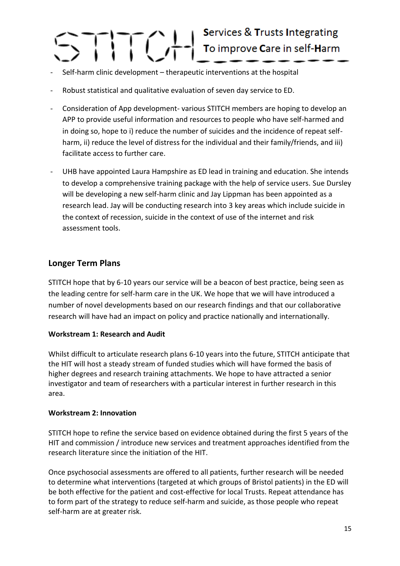### Services & Trusts Integrating

- Self-harm clinic development therapeutic interventions at the hospital
- Robust statistical and qualitative evaluation of seven day service to ED.
- Consideration of App development- various STITCH members are hoping to develop an APP to provide useful information and resources to people who have self-harmed and in doing so, hope to i) reduce the number of suicides and the incidence of repeat selfharm, ii) reduce the level of distress for the individual and their family/friends, and iii) facilitate access to further care.
- UHB have appointed Laura Hampshire as ED lead in training and education. She intends to develop a comprehensive training package with the help of service users. Sue Dursley will be developing a new self-harm clinic and Jay Lippman has been appointed as a research lead. Jay will be conducting research into 3 key areas which include suicide in the context of recession, suicide in the context of use of the internet and risk assessment tools.

### **Longer Term Plans**

STITCH hope that by 6-10 years our service will be a beacon of best practice, being seen as the leading centre for self-harm care in the UK. We hope that we will have introduced a number of novel developments based on our research findings and that our collaborative research will have had an impact on policy and practice nationally and internationally.

### **Workstream 1: Research and Audit**

Whilst difficult to articulate research plans 6-10 years into the future, STITCH anticipate that the HIT will host a steady stream of funded studies which will have formed the basis of higher degrees and research training attachments. We hope to have attracted a senior investigator and team of researchers with a particular interest in further research in this area.

### **Workstream 2: Innovation**

STITCH hope to refine the service based on evidence obtained during the first 5 years of the HIT and commission / introduce new services and treatment approaches identified from the research literature since the initiation of the HIT.

Once psychosocial assessments are offered to all patients, further research will be needed to determine what interventions (targeted at which groups of Bristol patients) in the ED will be both effective for the patient and cost-effective for local Trusts. Repeat attendance has to form part of the strategy to reduce self-harm and suicide, as those people who repeat self-harm are at greater risk.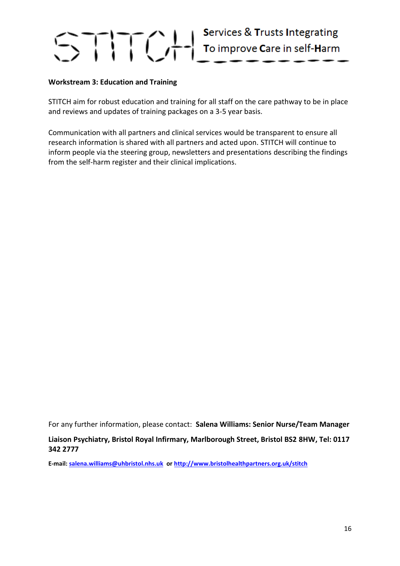### **Workstream 3: Education and Training**

STITCH aim for robust education and training for all staff on the care pathway to be in place and reviews and updates of training packages on a 3-5 year basis.

Communication with all partners and clinical services would be transparent to ensure all research information is shared with all partners and acted upon. STITCH will continue to inform people via the steering group, newsletters and presentations describing the findings from the self-harm register and their clinical implications.

For any further information, please contact: **Salena Williams: Senior Nurse/Team Manager**

#### **Liaison Psychiatry, Bristol Royal Infirmary, Marlborough Street, Bristol BS2 8HW, Tel: 0117 342 2777**

**E-mail: [salena.williams@uhbristol.nhs.uk](mailto:salena.williams@uhbristol.nhs.uk) or<http://www.bristolhealthpartners.org.uk/stitch>**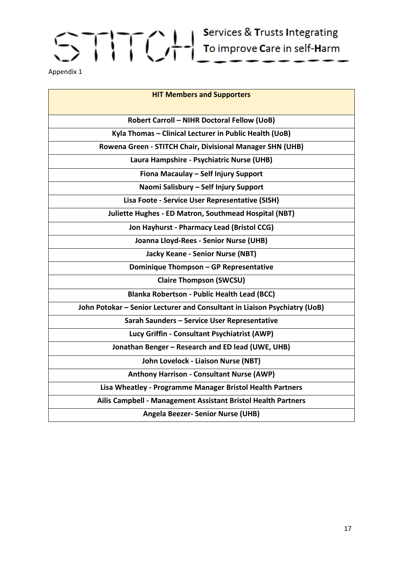Appendix 1

| <b>HIT Members and Supporters</b>                                         |
|---------------------------------------------------------------------------|
| <b>Robert Carroll - NIHR Doctoral Fellow (UoB)</b>                        |
| Kyla Thomas - Clinical Lecturer in Public Health (UoB)                    |
| Rowena Green - STITCH Chair, Divisional Manager SHN (UHB)                 |
| Laura Hampshire - Psychiatric Nurse (UHB)                                 |
| Fiona Macaulay - Self Injury Support                                      |
| Naomi Salisbury - Self Injury Support                                     |
| Lisa Foote - Service User Representative (SISH)                           |
| Juliette Hughes - ED Matron, Southmead Hospital (NBT)                     |
| Jon Hayhurst - Pharmacy Lead (Bristol CCG)                                |
| Joanna Lloyd-Rees - Senior Nurse (UHB)                                    |
| <b>Jacky Keane - Senior Nurse (NBT)</b>                                   |
| Dominique Thompson - GP Representative                                    |
| <b>Claire Thompson (SWCSU)</b>                                            |
| <b>Blanka Robertson - Public Health Lead (BCC)</b>                        |
| John Potokar - Senior Lecturer and Consultant in Liaison Psychiatry (UoB) |
| Sarah Saunders - Service User Representative                              |
| Lucy Griffin - Consultant Psychiatrist (AWP)                              |
| Jonathan Benger - Research and ED lead (UWE, UHB)                         |
| John Lovelock - Liaison Nurse (NBT)                                       |
| <b>Anthony Harrison - Consultant Nurse (AWP)</b>                          |
| Lisa Wheatley - Programme Manager Bristol Health Partners                 |
| Ailis Campbell - Management Assistant Bristol Health Partners             |
| <b>Angela Beezer- Senior Nurse (UHB)</b>                                  |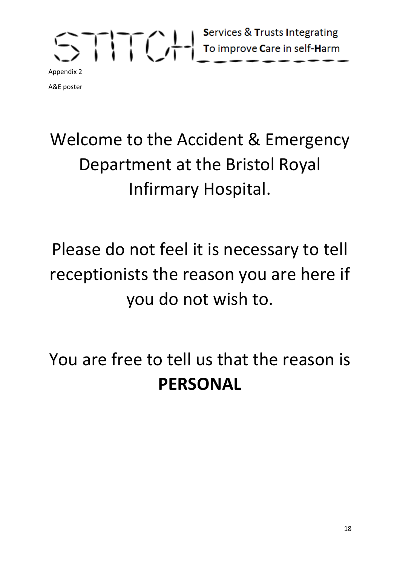A&E poster

### Welcome to the Accident & Emergency Department at the Bristol Royal Infirmary Hospital.

### Please do not feel it is necessary to tell receptionists the reason you are here if you do not wish to.

You are free to tell us that the reason is **PERSONAL**